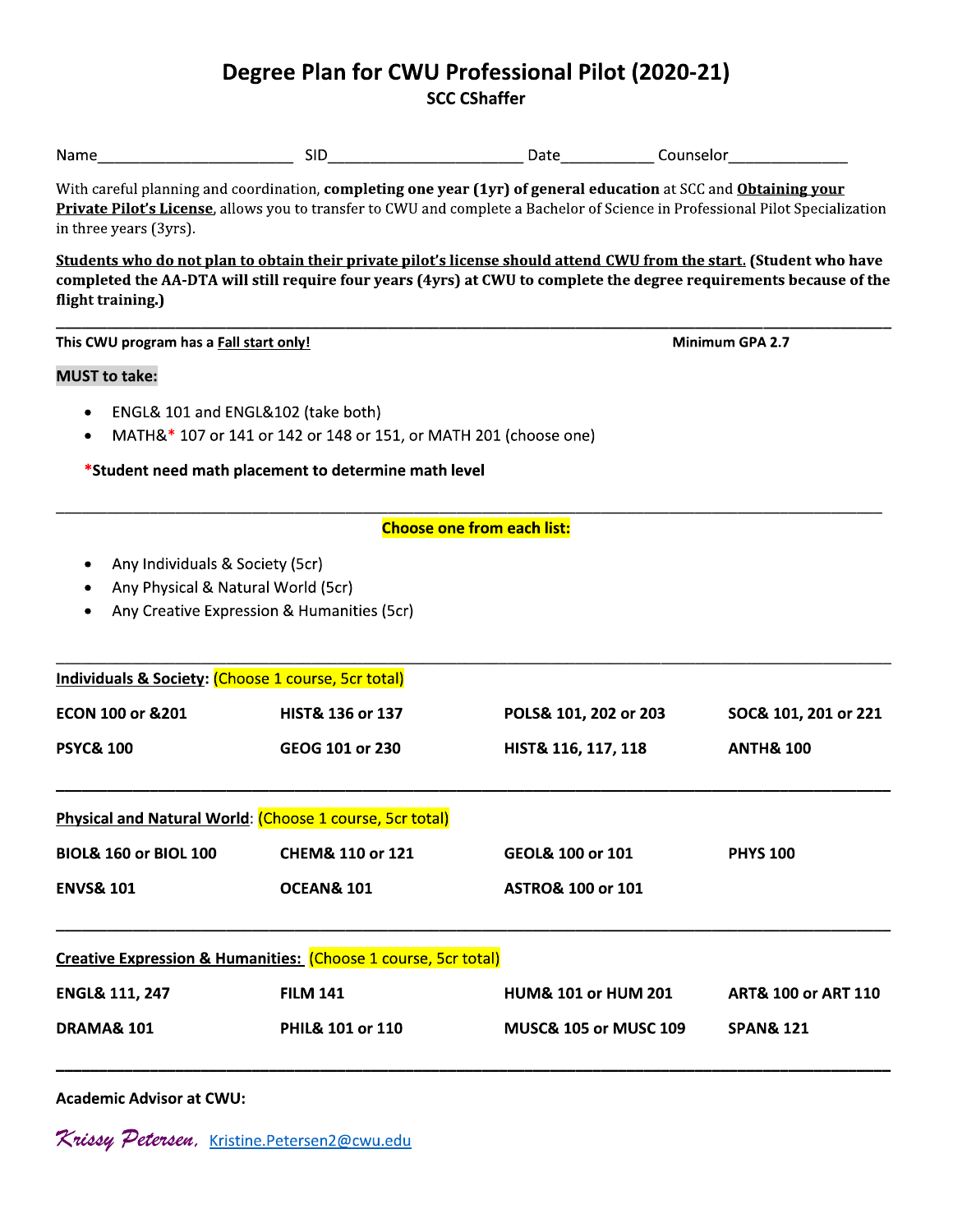## Degree Plan for CWU Professional Pilot (2020-21) **SCC CShaffer**

| Name                                                                  |                                                                  |                                                                                                                                                                                                                                                    |                                |
|-----------------------------------------------------------------------|------------------------------------------------------------------|----------------------------------------------------------------------------------------------------------------------------------------------------------------------------------------------------------------------------------------------------|--------------------------------|
| in three years (3yrs).                                                |                                                                  | With careful planning and coordination, completing one year (1yr) of general education at SCC and Obtaining your<br>Private Pilot's License, allows you to transfer to CWU and complete a Bachelor of Science in Professional Pilot Specialization |                                |
| flight training)                                                      |                                                                  | Students who do not plan to obtain their private pilot's license should attend CWU from the start. (Student who have<br>completed the AA-DTA will still require four years (4yrs) at CWU to complete the degree requirements because of the        |                                |
| This CWU program has a Fall start only!                               |                                                                  | Minimum GPA 2.7                                                                                                                                                                                                                                    |                                |
| <b>MUST to take:</b>                                                  |                                                                  |                                                                                                                                                                                                                                                    |                                |
| ENGL& 101 and ENGL&102 (take both)<br>٠<br>٠                          | MATH&* 107 or 141 or 142 or 148 or 151, or MATH 201 (choose one) |                                                                                                                                                                                                                                                    |                                |
|                                                                       | *Student need math placement to determine math level             |                                                                                                                                                                                                                                                    |                                |
|                                                                       |                                                                  | <b>Choose one from each list:</b>                                                                                                                                                                                                                  |                                |
| Any Individuals & Society (5cr)<br>Any Physical & Natural World (5cr) | Any Creative Expression & Humanities (5cr)                       |                                                                                                                                                                                                                                                    |                                |
| <b>Individuals &amp; Society: (Choose 1 course, 5cr total)</b>        |                                                                  |                                                                                                                                                                                                                                                    |                                |
| ECON 100 or &201                                                      | HIST& 136 or 137                                                 | POLS& 101, 202 or 203                                                                                                                                                                                                                              | SOC& 101, 201 or 221           |
| <b>PSYC&amp; 100</b>                                                  | GEOG 101 or 230                                                  | HIST& 116, 117, 118                                                                                                                                                                                                                                | <b>ANTH&amp; 100</b>           |
|                                                                       | Physical and Natural World: (Choose 1 course, 5cr total)         |                                                                                                                                                                                                                                                    |                                |
| <b>BIOL&amp; 160 or BIOL 100</b>                                      | CHEM& 110 or 121                                                 | GEOL& 100 or 101                                                                                                                                                                                                                                   | <b>PHYS 100</b>                |
| <b>ENVS&amp; 101</b>                                                  | <b>OCEAN&amp; 101</b>                                            | <b>ASTRO&amp; 100 or 101</b>                                                                                                                                                                                                                       |                                |
|                                                                       | Creative Expression & Humanities: (Choose 1 course, 5cr total)   |                                                                                                                                                                                                                                                    |                                |
| <b>ENGL&amp; 111, 247</b>                                             | <b>FILM 141</b>                                                  | <b>HUM&amp; 101 or HUM 201</b>                                                                                                                                                                                                                     | <b>ART&amp; 100 or ART 110</b> |
| <b>DRAMA&amp; 101</b>                                                 | PHIL& 101 or 110                                                 | <b>MUSC&amp; 105 or MUSC 109</b>                                                                                                                                                                                                                   | <b>SPAN&amp; 121</b>           |
|                                                                       |                                                                  |                                                                                                                                                                                                                                                    |                                |

**Academic Advisor at CWU:** 

Krissy Petersen, Kristine.Petersen2@cwu.edu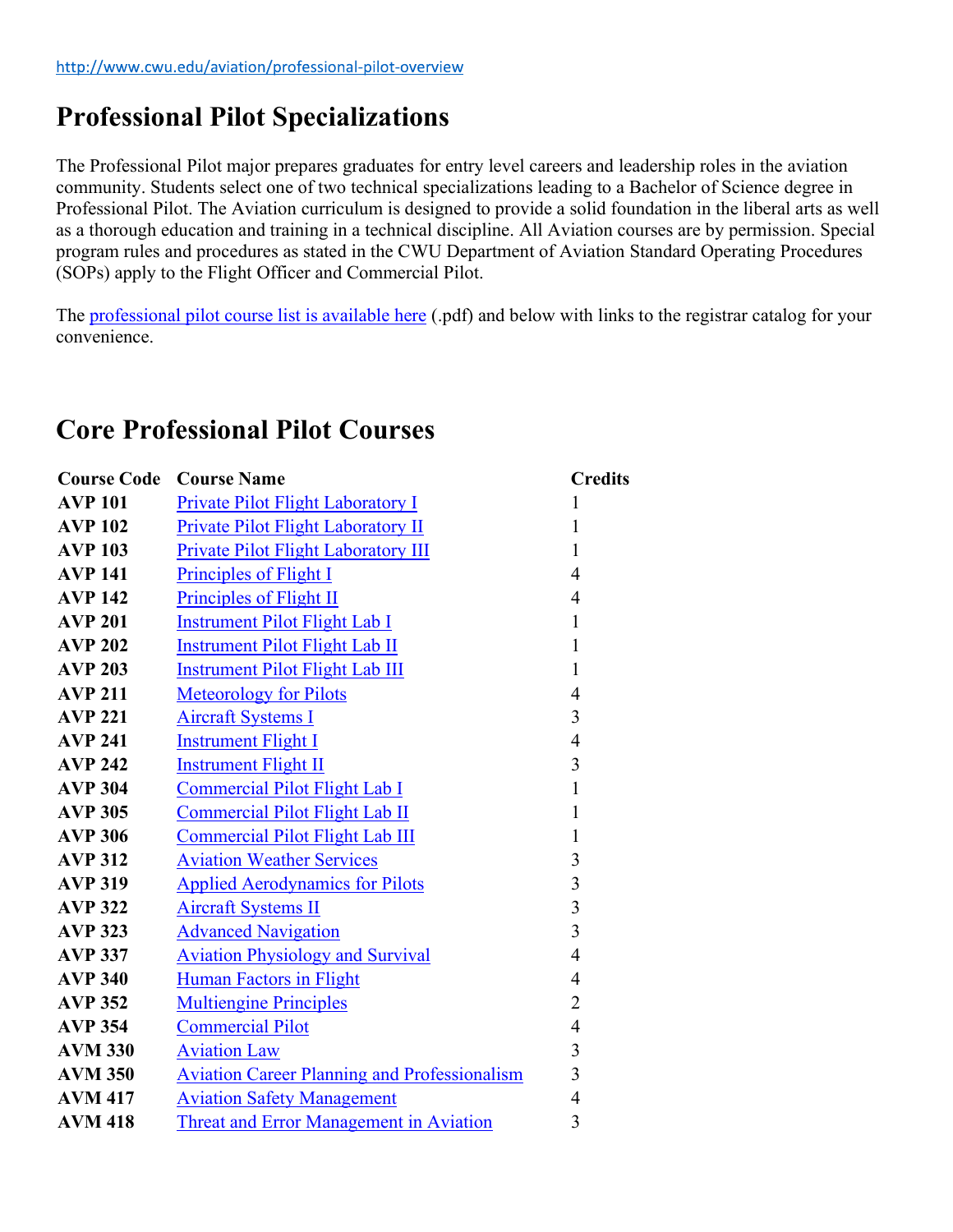## Professional Pilot Specializations

The Professional Pilot major prepares graduates for entry level careers and leadership roles in the aviation community. Students select one of two technical specializations leading to a Bachelor of Science degree in Professional Pilot. The Aviation curriculum is designed to provide a solid foundation in the liberal arts as well as a thorough education and training in a technical discipline. All Aviation courses are by permission. Special program rules and procedures as stated in the CWU Department of Aviation Standard Operating Procedures (SOPs) apply to the Flight Officer and Commercial Pilot.<br>The professional pilot course list is available here (.pdf) and below with links to the registrar catalog for your

convenience.

## Core Professional Pilot Courses

|                | <b>Course Code Course Name</b>                      | <b>Credits</b> |
|----------------|-----------------------------------------------------|----------------|
| <b>AVP 101</b> | Private Pilot Flight Laboratory I                   |                |
| <b>AVP 102</b> | Private Pilot Flight Laboratory II                  |                |
| <b>AVP 103</b> | Private Pilot Flight Laboratory III                 |                |
| <b>AVP 141</b> | Principles of Flight I                              | 4              |
| <b>AVP 142</b> | Principles of Flight II                             |                |
| <b>AVP 201</b> | <b>Instrument Pilot Flight Lab I</b>                |                |
| <b>AVP 202</b> | <b>Instrument Pilot Flight Lab II</b>               |                |
| <b>AVP 203</b> | <b>Instrument Pilot Flight Lab III</b>              |                |
| <b>AVP 211</b> | <b>Meteorology for Pilots</b>                       | 4              |
| <b>AVP 221</b> | <b>Aircraft Systems I</b>                           | 3              |
| <b>AVP 241</b> | <b>Instrument Flight I</b>                          | 4              |
| <b>AVP 242</b> | <b>Instrument Flight II</b>                         | 3              |
| <b>AVP 304</b> | Commercial Pilot Flight Lab I                       |                |
| <b>AVP 305</b> | <b>Commercial Pilot Flight Lab II</b>               |                |
| <b>AVP 306</b> | <b>Commercial Pilot Flight Lab III</b>              |                |
| <b>AVP 312</b> | <b>Aviation Weather Services</b>                    | 3              |
| <b>AVP 319</b> | <b>Applied Aerodynamics for Pilots</b>              | 3              |
| <b>AVP 322</b> | <b>Aircraft Systems II</b>                          | 3              |
| <b>AVP 323</b> | <b>Advanced Navigation</b>                          | 3              |
| <b>AVP 337</b> | <b>Aviation Physiology and Survival</b>             | 4              |
| <b>AVP 340</b> | <b>Human Factors in Flight</b>                      | 4              |
| <b>AVP 352</b> | <b>Multiengine Principles</b>                       | $\overline{2}$ |
| <b>AVP 354</b> | <b>Commercial Pilot</b>                             | 4              |
| <b>AVM 330</b> | <b>Aviation Law</b>                                 | 3              |
| <b>AVM 350</b> | <b>Aviation Career Planning and Professionalism</b> | 3              |
| <b>AVM 417</b> | <b>Aviation Safety Management</b>                   | 4              |
| <b>AVM 418</b> | Threat and Error Management in Aviation             | 3              |